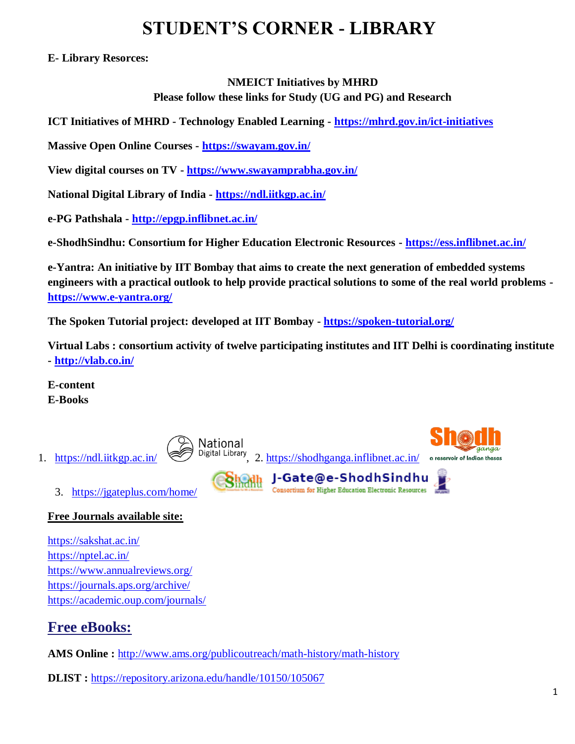# **STUDENT'S CORNER - LIBRARY**

**E- Library Resorces:**

### **NMEICT Initiatives by MHRD Please follow these links for Study (UG and PG) and Research**

**ICT Initiatives of MHRD - Technology Enabled Learning - <https://mhrd.gov.in/ict-initiatives>**

**Massive Open Online Courses - <https://swayam.gov.in/>**

**View digital courses on TV - <https://www.swayamprabha.gov.in/>**

**National Digital Library of India - <https://ndl.iitkgp.ac.in/>**

**e-PG Pathshala - <http://epgp.inflibnet.ac.in/>**

**e-ShodhSindhu: Consortium for Higher Education Electronic Resources - <https://ess.inflibnet.ac.in/>**

**e-Yantra: An initiative by IIT Bombay that aims to create the next generation of embedded systems engineers with a practical outlook to help provide practical solutions to some of the real world problems <https://www.e-yantra.org/>**

**The Spoken Tutorial project: developed at IIT Bombay - <https://spoken-tutorial.org/>**

**Virtual Labs : consortium activity of twelve participating institutes and IIT Delhi is coordinating institute - <http://vlab.co.in/>**

**E-content E-Books**



## **Free Journals available site:**

<https://sakshat.ac.in/> <https://nptel.ac.in/> <https://www.annualreviews.org/> <https://journals.aps.org/archive/> <https://academic.oup.com/journals/>

# **Free eBooks:**

**AMS Online :** <http://www.ams.org/publicoutreach/math-history/math-history>

**DLIST :** <https://repository.arizona.edu/handle/10150/105067>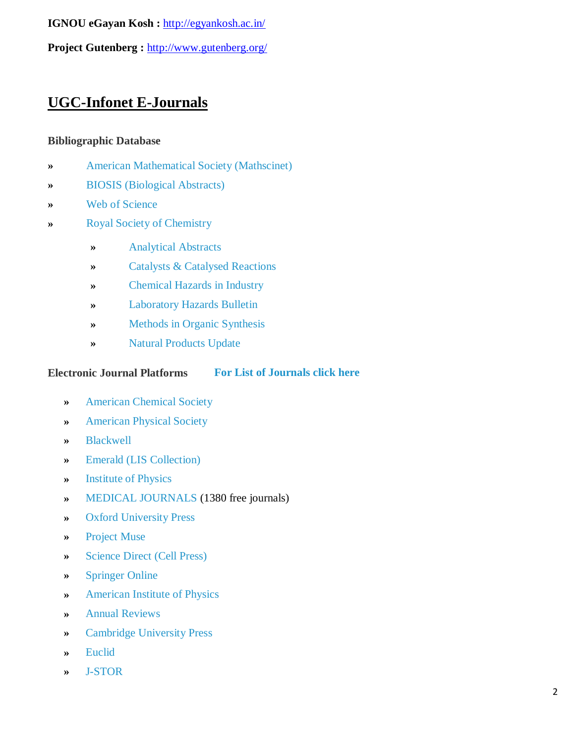**IGNOU eGayan Kosh :** <http://egyankosh.ac.in/>

**Project Gutenberg :** <http://www.gutenberg.org/>

**UGC-Infonet E-Journals**

### **Bibliographic Database**

- **»** [American Mathematical Society \(Mathscinet\)](http://www.ams.org/mathscinet)
- **»** [BIOSIS \(Biological Abstracts\)](http://webspirs3.silverplatter.com/)
- **»** [Web of Science](http://isiknowledge.com/)
- **»** [Royal Society of Chemistry](http://www.rsc.org/)
	- **»** [Analytical Abstracts](http://www.rsc.org/is/database/aahome.htm)
	- **»** [Catalysts & Catalysed Reactions](http://www.rsc.org/is/database/ccrpub.htm)
	- **»** [Chemical Hazards in Industry](http://www.rsc.org/is/database/chihome.htm)
	- **»** [Laboratory Hazards Bulletin](http://www.rsc.org/is/database/inbhome.htm)
	- **»** [Methods in Organic](http://www.rsc.org/is/database/moshome.htm) Synthesis
	- **»** [Natural Products Update](http://www.rsc.org/is/database/npuhome.htm)

#### **Electronic Journal Platforms [For List of Journals click here](http://www.inflibnet.ac.in/econ/search.php)**

- **»** [American Chemical Society](http://www.pubs.acs.org/)
- **»** [American Physical Society](http://www.aps.org/)
- **»** [Blackwell](http://www.blackwell-synergy.com/)
- **»** [Emerald \(LIS Collection\)](http://www.emeraldinsight.com/)
- **»** [Institute of Physics](http://www.iop.org/EJ/)
- **»** [MEDICAL JOURNALS](http://www.freemedicaljournals.com/) (1380 free journals)
- **»** [Oxford University Press](http://www.oxfordjournals.org/)
- **»** [Project Muse](http://muse.jhu.edu/journals/)
- **»** [Science Direct \(Cell Press\)](http://www.sciencedirect.com/)
- **»** [Springer Online](http://www.springerlink.com/)
- **»** [American Institute of Physics](http://www.aip.org/)
- **»** [Annual Reviews](http://arjournals.annualreviews.org/)
- **»** [Cambridge University Press](http://www.journals.cambridge.org/)
- **»** [Euclid](http://projecteuclid.org/)
- **»** [J-STOR](http://www.jstor.com/)